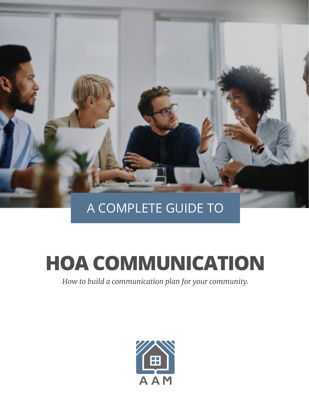

## A COMPLETE GUIDE TO

# **HOA COMMUNICATION**

*How to build a communication plan for your community.*

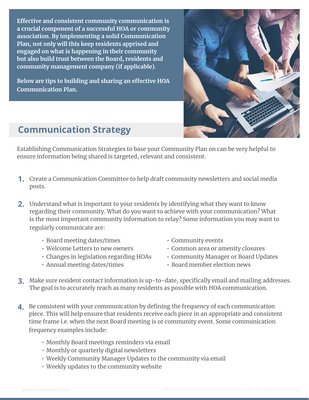**Effective and consistent community communication is a crucial component of a successful HOA or community association. By implementing a solid Communication Plan, not only will this keep residents apprised and engaged on what is happening in their community but also build trust between the Board, residents and community management company (if applicable).**

**Below are tips to building and sharing an effective HOA Communication Plan.** 



## **Communication Strategy**

Establishing Communication Strategies to base your Community Plan on can be very helpful to ensure information being shared is targeted, relevant and consistent.

- **1.** Create a Communication Committee to help draft community newsletters and social media posts.
- Understand what is important to your residents by identifying what they want to know **2.** regarding their community. What do you want to achieve with your communication? What is the most important community information to relay? Some information you may want to regularly communicate are:
	- Board meeting dates/times
	- Welcome Letters to new owners
	- Changes in legislation regarding HOAs
	- Annual meeting dates/times
- Community events
- Common area or amenity closures
- Community Manager or Board Updates
- Board member election news
- **3.** Make sure resident contact information is up-to-date, specifically email and mailing addresses. The goal is to accurately reach as many residents as possible with HOA communication.
- **4.** Be consistent with your communication by defining the frequency of each communication piece. This will help ensure that residents receive each piece in an appropriate and consistent time frame i.e. when the next Board meeting is or community event. Some communication frequency examples include:
	- Monthly Board meetings reminders via email
	- Monthly or quarterly digital newsletters
	- Weekly Community Manager Updates to the community via email
	- Weekly updates to the community website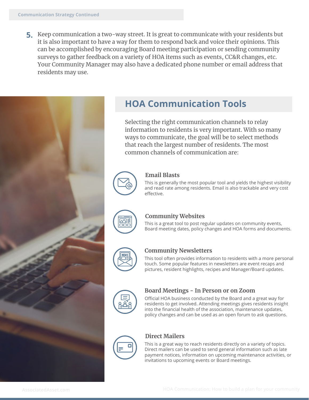**5.** Keep communication a two-way street. It is great to communicate with your residents but it is also important to have a way for them to respond back and voice their opinions. This can be accomplished by encouraging Board meeting participation or sending community surveys to gather feedback on a variety of HOA items such as events, CC&R changes, etc. Your Community Manager may also have a dedicated phone number or email address that residents may use.



### **HOA Communication Tools**

Selecting the right communication channels to relay information to residents is very important. With so many ways to communicate, the goal will be to select methods that reach the largest number of residents. The most common channels of communication are:



#### **Email Blasts**

This is generally the most popular tool and yields the highest visibility and read rate among residents. Email is also trackable and very cost effective.



#### **Community Websites**

This is a great tool to post regular updates on community events, Board meeting dates, policy changes and HOA forms and documents.



#### **Community Newsletters**

This tool often provides information to residents with a more personal touch. Some popular features in newsletters are event recaps and pictures, resident highlights, recipes and Manager/Board updates.



#### **Board Meetings - In Person or on Zoom**

Official HOA business conducted by the Board and a great way for residents to get involved. Attending meetings gives residents insight into the financial health of the association, maintenance updates, policy changes and can be used as an open forum to ask questions.



#### **Direct Mailers**

This is a great way to reach residents directly on a variety of topics. Direct mailers can be used to send general information such as late payment notices, information on upcoming maintenance activities, or invitations to upcoming events or Board meetings.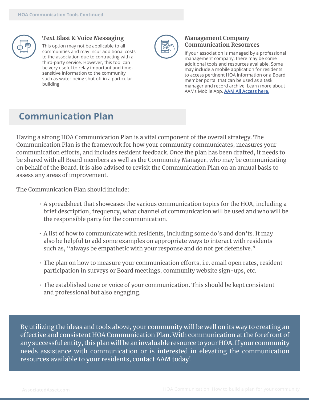

#### **Text Blast & Voice Messaging**

This option may not be applicable to all communities and may incur additional costs to the association due to contracting with a third-party service. However, this tool can be very useful to relay important and timesensitive information to the community such as water being shut off in a particular building.



#### **Management Company Communication Resources**

If your association is managed by a professional management company, there may be some additional tools and resources available. Some may include a mobile application for residents to access pertinent HOA information or a Board member portal that can be used as a task manager and record archive. Learn more about AAMs Mobile App, **[AAM All Access here](https://www.associatedasset.com/hoa-services/all-access-app/)**.

## **Communication Plan**

Having a strong HOA Communication Plan is a vital component of the overall strategy. The Communication Plan is the framework for how your community communicates, measures your communication efforts, and includes resident feedback. Once the plan has been drafted, it needs to be shared with all Board members as well as the Community Manager, who may be communicating on behalf of the Board. It is also advised to revisit the Communication Plan on an annual basis to assess any areas of improvement.

The Communication Plan should include:

- A spreadsheet that showcases the various communication topics for the HOA, including a brief description, frequency, what channel of communication will be used and who will be the responsible party for the communication.
- A list of how to communicate with residents, including some do's and don'ts. It may also be helpful to add some examples on appropriate ways to interact with residents such as, "always be empathetic with your response and do not get defensive."
- The plan on how to measure your communication efforts, i.e. email open rates, resident participation in surveys or Board meetings, community website sign-ups, etc.
- The established tone or voice of your communication. This should be kept consistent and professional but also engaging.

By utilizing the ideas and tools above, your community will be well on its way to creating an effective and consistent HOA Communication Plan. With communication at the forefront of any successful entity, this plan will be an invaluable resource to your HOA. If your community needs assistance with communication or is interested in elevating the communication resources available to your residents, contact AAM today!